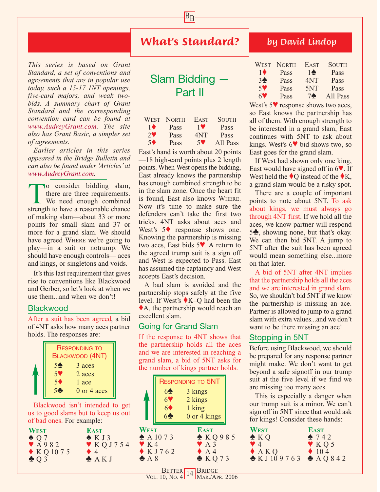## *What's Standard?*

 $B_{\underline{B}}$ 

*This series is based on Grant Standard, a set of conventions and agreements that are in popular use today, such a 15-17 1NT openings, five-card majors, and weak twobids. A summary chart of Grant Standard and the corresponding convention card can be found at www.AudreyGrant.com. The site also has Grant Basic, a simpler set of agreements.*

*Earlier articles in this series appeared in the Bridge Bulletin and can also be found under 'Articles' at www.AudreyGrant.com.*

To consider bidding slam,<br>there are three requirements.<br>We need enough combined<br>strength to have a reasonable chance there are three requirements. We need enough combined strength to have a reasonable chance of making slam—about 33 or more points for small slam and 37 or more for a grand slam. We should have agreed WHERE we're going to play—in a suit or notrump. We should have enough controls— aces and kings, or singletons and voids.

It's this last requirement that gives rise to conventions like Blackwood and Gerber, so let's look at when we use them...and when we don't!

#### **Blackwood**

After a suit has been agreed, a bid of 4NT asks how many aces partner holds. The responses are:

| <b>RESPONDING TO</b><br><b>BLACKWOOD (4NT)</b>       |  |
|------------------------------------------------------|--|
| 5 <sub>2</sub><br>3 aces<br>5 <sup>9</sup><br>2 aces |  |
| 5 <sup>4</sup><br>1 ace                              |  |
| 5 <sub>o</sub><br>0 or 4 aces                        |  |

Blackwood isn't intended to get us to good slams but to keep us out of bad ones. For example:

| <b>WEST</b>               | <b>EAST</b>                     |
|---------------------------|---------------------------------|
| $\triangle$ 07            | $\triangle$ K J 3               |
| $\blacktriangledown$ A982 | $\blacktriangledown$ KQ J 7 5 4 |
| $\triangle KQ1075$        | $\bullet$ 4                     |
| $\triangle$ Q 3           | $\clubsuit$ AK J                |

# Slam Bidding — Part II

|                       | WEST NORTH  | <b>EAST</b>           | <b>SOUTH</b> |
|-----------------------|-------------|-----------------------|--------------|
| $1\blacklozenge$      | <b>Pass</b> | 1 <sup>4</sup>        | Pass         |
| $2\blacktriangledown$ | Pass        | 4NT                   | Pass         |
| 5 <sup>4</sup>        | Pass        | $5\blacktriangledown$ | All Pass     |

East's hand is worth about 20 points —18 high-card points plus 2 length points. When West opens the bidding, East already knows the partnership has enough combined strength to be in the slam zone. Once the heart fit is found, East also knows WHERE. Now it's time to make sure the defenders can't take the first two tricks. 4NT asks about aces and West's 5♦ response shows one. Knowing the partnership is missing two aces, East bids 5♥. A return to the agreed trump suit is a sign off and West is expected to Pass. East has assumed the captaincy and West accepts East's decision.

A bad slam is avoided and the partnership stops safely at the five level. If West's ♦K–Q had been the ♦A, the partnership would reach an excellent slam.

### Going for Grand Slam

If the response to 4NT shows that the partnership holds all the aces and we are interested in reaching a grand slam, a bid of 5NT asks for the number of kings partner holds.

|                  |                       | <b>RESPONDING TO 5NT</b> |  |
|------------------|-----------------------|--------------------------|--|
|                  | 6 <sup>4</sup>        | 3 kings                  |  |
|                  | 6 <sup>o</sup>        | 2 kings                  |  |
|                  | $6\blacklozenge$      | 1 king                   |  |
|                  | 6                     | 0 or 4 kings             |  |
| <b>WEST</b>      |                       | <b>EAST</b>              |  |
|                  | $\triangle$ A 10 7 3  | KQ985                    |  |
| $\mathbf{V}$ K 4 |                       | A3                       |  |
| A8               | $\blacklozenge$ KJ762 | $\bullet$ A 4<br>KQ73    |  |
|                  |                       |                          |  |

## *by David Lindop*

| <b>WEST</b>      | <b>NORTH</b> | <b>EAST</b>    | <b>SOUTH</b> |
|------------------|--------------|----------------|--------------|
| $1\blacklozenge$ | Pass         | $1\spadesuit$  | Pass         |
| 3 <sup>4</sup>   | Pass         | 4NT            | Pass         |
| 59               | Pass         | 5NT            | Pass         |
| 67               | Pass         | 7 <sub>•</sub> | All Pass     |

West's 5♥ response shows two aces, so East knows the partnership has all of them. With enough strength to be interested in a grand slam, East continues with 5NT to ask about kings. West's 6♥ bid shows two, so East goes for the grand slam.

If West had shown only one king, East would have signed off in 6♥. If West held the  $\lozenge$ Q instead of the  $\lozenge$ K, a grand slam would be a risky spot.

There are a couple of important points to note about 5NT. To ask about kings, we must always go through 4NT first. If we hold all the aces, we know partner will respond 5♣, showing none, but that's okay. We can then bid 5NT. A jump to 5NT after the suit has been agreed would mean something else...more on that later.

A bid of 5NT after 4NT implies that the partnership holds all the aces and we are interested in grand slam. So, we shouldn't bid 5NT if we know the partnership is missing an ace. Partner is allowed to jump to a grand slam with extra values...and we don't want to be there missing an ace!

### Stopping in 5NT

Before using Blackwood, we should be prepared for any response partner might make. We don't want to get beyond a safe signoff in our trump suit at the five level if we find we are missing too many aces.

This is especially a danger when our trump suit is a minor. We can't sign off in 5NT since that would ask for kings! Consider these hands:

| <b>WEST</b>                            | <b>EAST</b>                |
|----------------------------------------|----------------------------|
| $\triangle KQ$                         | 2742                       |
| $\bullet$ 4                            | $\mathbf{\mathsf{v}}$ KQ 5 |
| A K Q                                  | $\triangle$ 10 4           |
| $\triangle$ KJ109763 $\triangle$ AQ842 |                            |